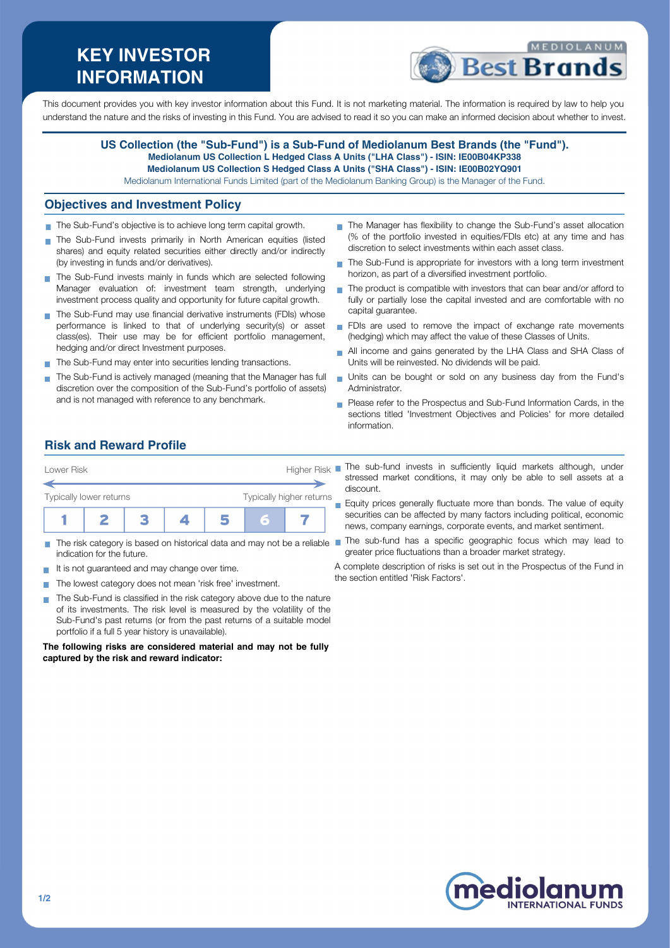# **KEY INVESTOR INFORMATION**



This document provides you with key investor information about this Fund. It is not marketing material. The information is required by law to help you understand the nature and the risks of investing in this Fund. You are advised to read it so you can make an informed decision about whether to invest.

#### **US Collection (the "Sub-Fund") is a Sub-Fund of Mediolanum Best Brands (the "Fund"). Mediolanum US Collection L Hedged Class A Units ("LHA Class") - ISIN: IE00B04KP338 Mediolanum US Collection S Hedged Class A Units ("SHA Class") - ISIN: IE00B02YQ901**

Mediolanum International Funds Limited (part of the Mediolanum Banking Group) is the Manager of the Fund.

#### **Objectives and Investment Policy**

- The Sub-Fund's objective is to achieve long term capital growth.
- The Sub-Fund invests primarily in North American equities (listed shares) and equity related securities either directly and/or indirectly (by investing in funds and/or derivatives).
- The Sub-Fund invests mainly in funds which are selected following Manager evaluation of: investment team strength, underlying investment process quality and opportunity for future capital growth.
- The Sub-Fund may use financial derivative instruments (FDIs) whose performance is linked to that of underlying security(s) or asset class(es). Their use may be for efficient portfolio management, hedging and/or direct Investment purposes.
- The Sub-Fund may enter into securities lending transactions.
- The Sub-Fund is actively managed (meaning that the Manager has full discretion over the composition of the Sub-Fund's portfolio of assets) and is not managed with reference to any benchmark.
- The Manager has flexibility to change the Sub-Fund's asset allocation (% of the portfolio invested in equities/FDIs etc) at any time and has discretion to select investments within each asset class.
- The Sub-Fund is appropriate for investors with a long term investment horizon, as part of a diversified investment portfolio.
- The product is compatible with investors that can bear and/or afford to  $\overline{\phantom{a}}$ fully or partially lose the capital invested and are comfortable with no capital guarantee.
- FDIs are used to remove the impact of exchange rate movements (hedging) which may affect the value of these Classes of Units.
- All income and gains generated by the LHA Class and SHA Class of  $\overline{\phantom{a}}$ Units will be reinvested. No dividends will be paid.
- Units can be bought or sold on any business day from the Fund's Administrator.
- **Please refer to the Prospectus and Sub-Fund Information Cards, in the** sections titled 'Investment Objectives and Policies' for more detailed information.

### **Risk and Reward Profile**



- m. indication for the future.
- It is not guaranteed and may change over time.  $\sim$
- The lowest category does not mean 'risk free' investment.
- The Sub-Fund is classified in the risk category above due to the nature  $\mathcal{L}_{\mathcal{A}}$ of its investments. The risk level is measured by the volatility of the Sub-Fund's past returns (or from the past returns of a suitable model portfolio if a full 5 year history is unavailable).

**The following risks are considered material and may not be fully captured by the risk and reward indicator:**

- stressed market conditions, it may only be able to sell assets at a discount.
- Equity prices generally fluctuate more than bonds. The value of equity securities can be affected by many factors including political, economic news, company earnings, corporate events, and market sentiment.
- The risk category is based on historical data and may not be a reliable The sub-fund has a specific geographic focus which may lead to greater price fluctuations than a broader market strategy.
	- A complete description of risks is set out in the Prospectus of the Fund in the section entitled 'Risk Factors'.